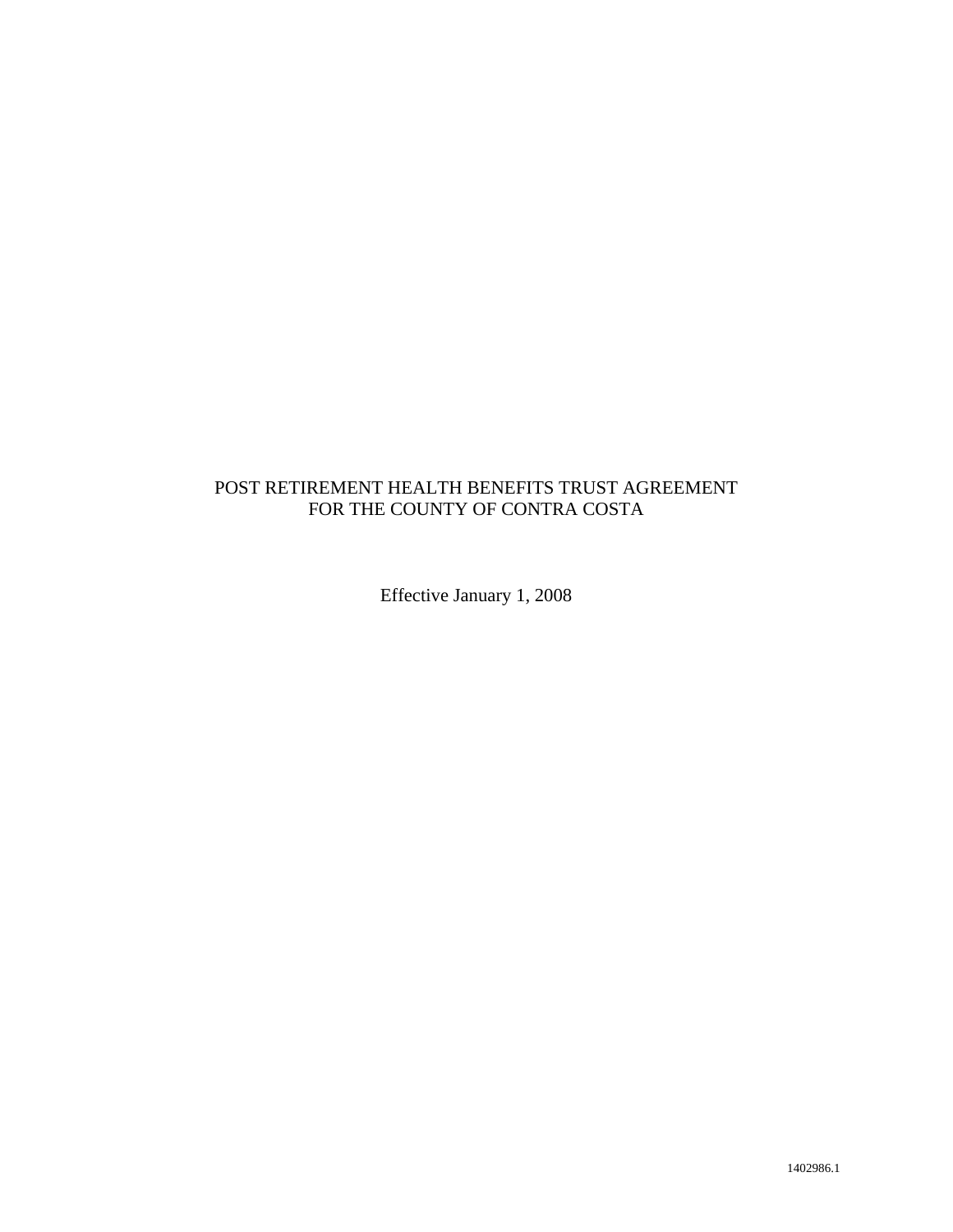# POST RETIREMENT HEALTH BENEFITS TRUST AGREEMENT FOR THE COUNTY OF CONTRA COSTA

Effective January 1, 2008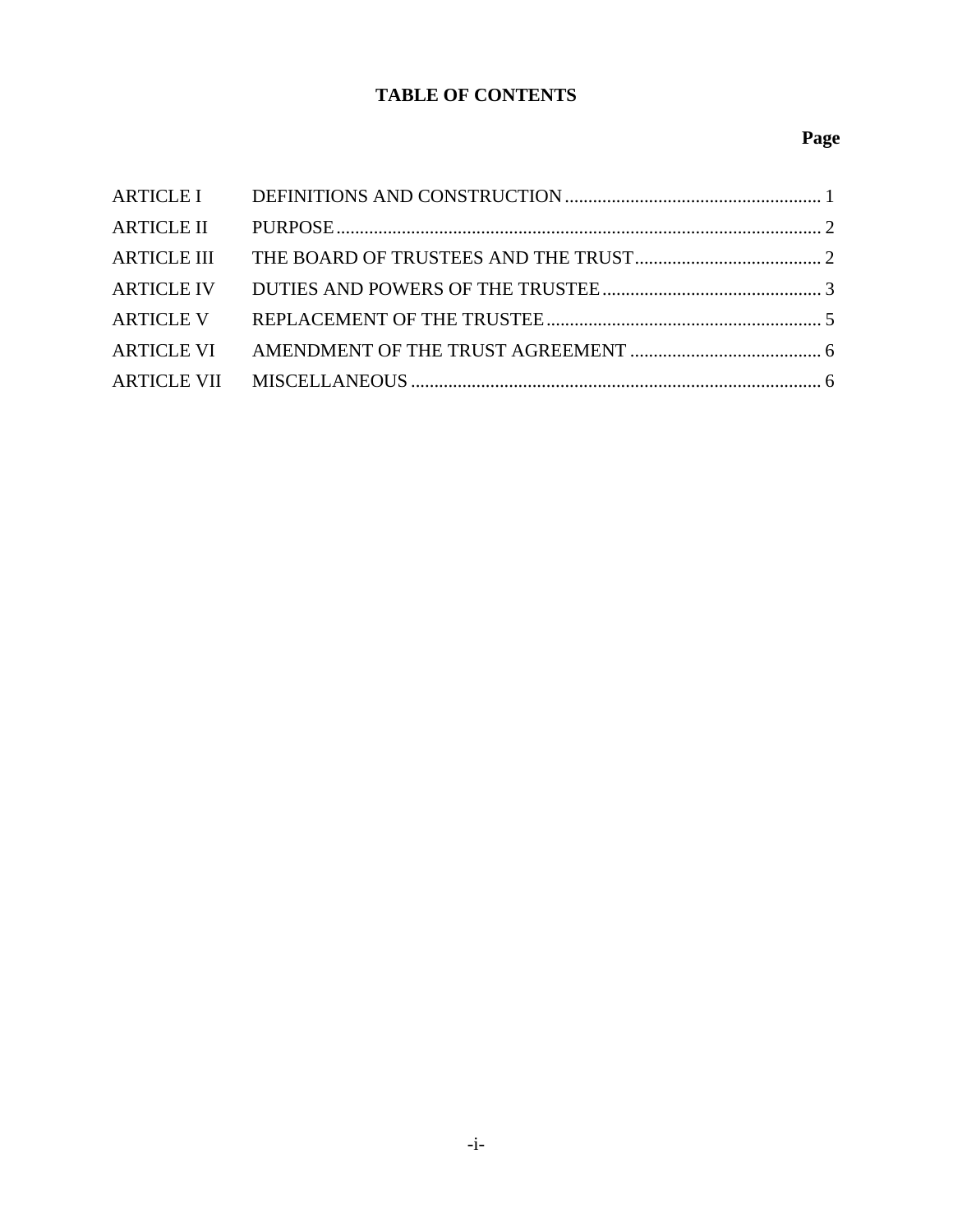# **TABLE OF CONTENTS**

# **Page**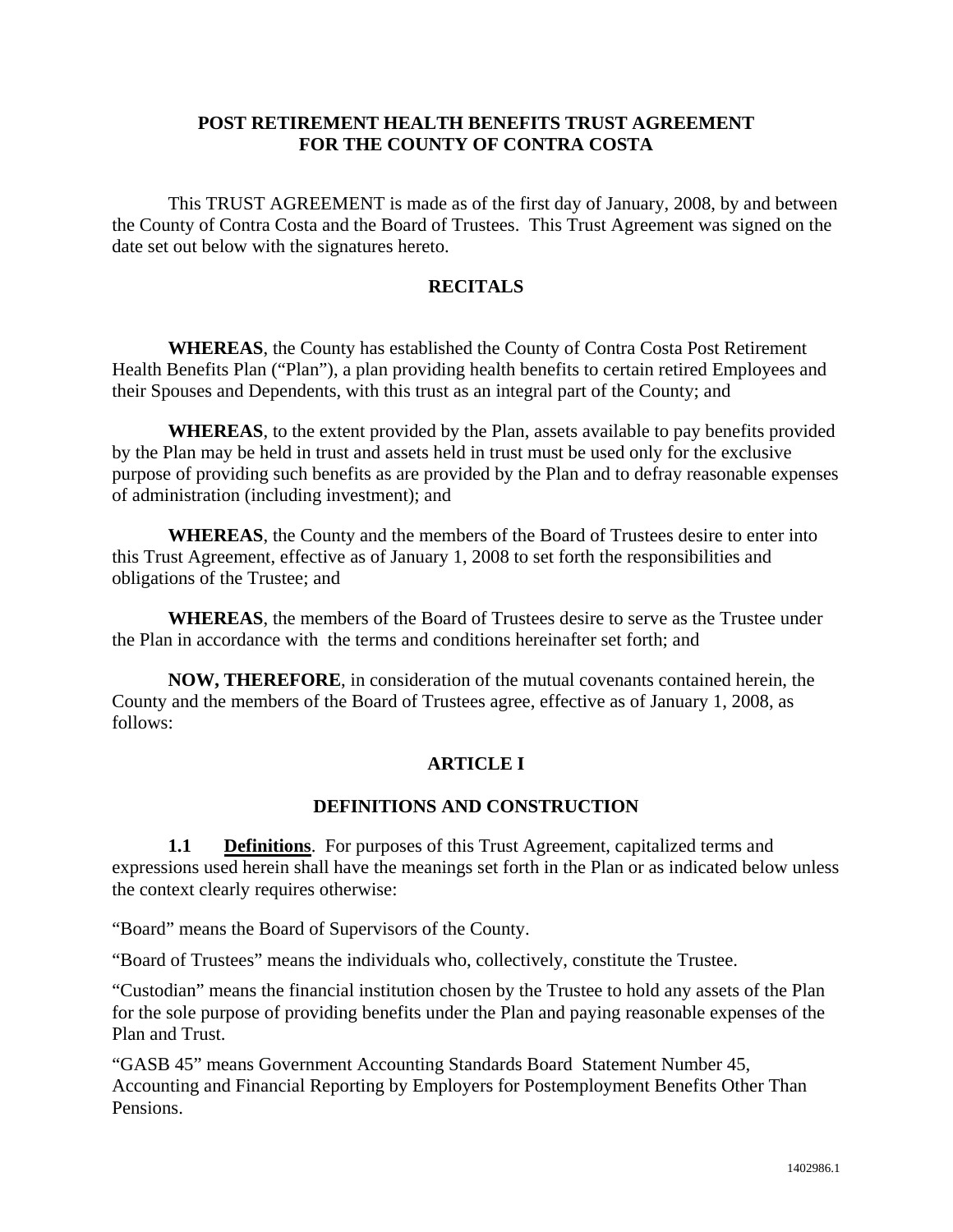#### **POST RETIREMENT HEALTH BENEFITS TRUST AGREEMENT FOR THE COUNTY OF CONTRA COSTA**

 This TRUST AGREEMENT is made as of the first day of January, 2008, by and between the County of Contra Costa and the Board of Trustees. This Trust Agreement was signed on the date set out below with the signatures hereto.

#### **RECITALS**

**WHEREAS**, the County has established the County of Contra Costa Post Retirement Health Benefits Plan ("Plan"), a plan providing health benefits to certain retired Employees and their Spouses and Dependents, with this trust as an integral part of the County; and

**WHEREAS**, to the extent provided by the Plan, assets available to pay benefits provided by the Plan may be held in trust and assets held in trust must be used only for the exclusive purpose of providing such benefits as are provided by the Plan and to defray reasonable expenses of administration (including investment); and

**WHEREAS**, the County and the members of the Board of Trustees desire to enter into this Trust Agreement, effective as of January 1, 2008 to set forth the responsibilities and obligations of the Trustee; and

**WHEREAS**, the members of the Board of Trustees desire to serve as the Trustee under the Plan in accordance with the terms and conditions hereinafter set forth; and

 **NOW, THEREFORE**, in consideration of the mutual covenants contained herein, the County and the members of the Board of Trustees agree, effective as of January 1, 2008, as follows:

#### **ARTICLE I**

#### **DEFINITIONS AND CONSTRUCTION**

**1.1 Definitions**. For purposes of this Trust Agreement, capitalized terms and expressions used herein shall have the meanings set forth in the Plan or as indicated below unless the context clearly requires otherwise:

"Board" means the Board of Supervisors of the County.

"Board of Trustees" means the individuals who, collectively, constitute the Trustee.

"Custodian" means the financial institution chosen by the Trustee to hold any assets of the Plan for the sole purpose of providing benefits under the Plan and paying reasonable expenses of the Plan and Trust.

"GASB 45" means Government Accounting Standards Board Statement Number 45, Accounting and Financial Reporting by Employers for Postemployment Benefits Other Than Pensions.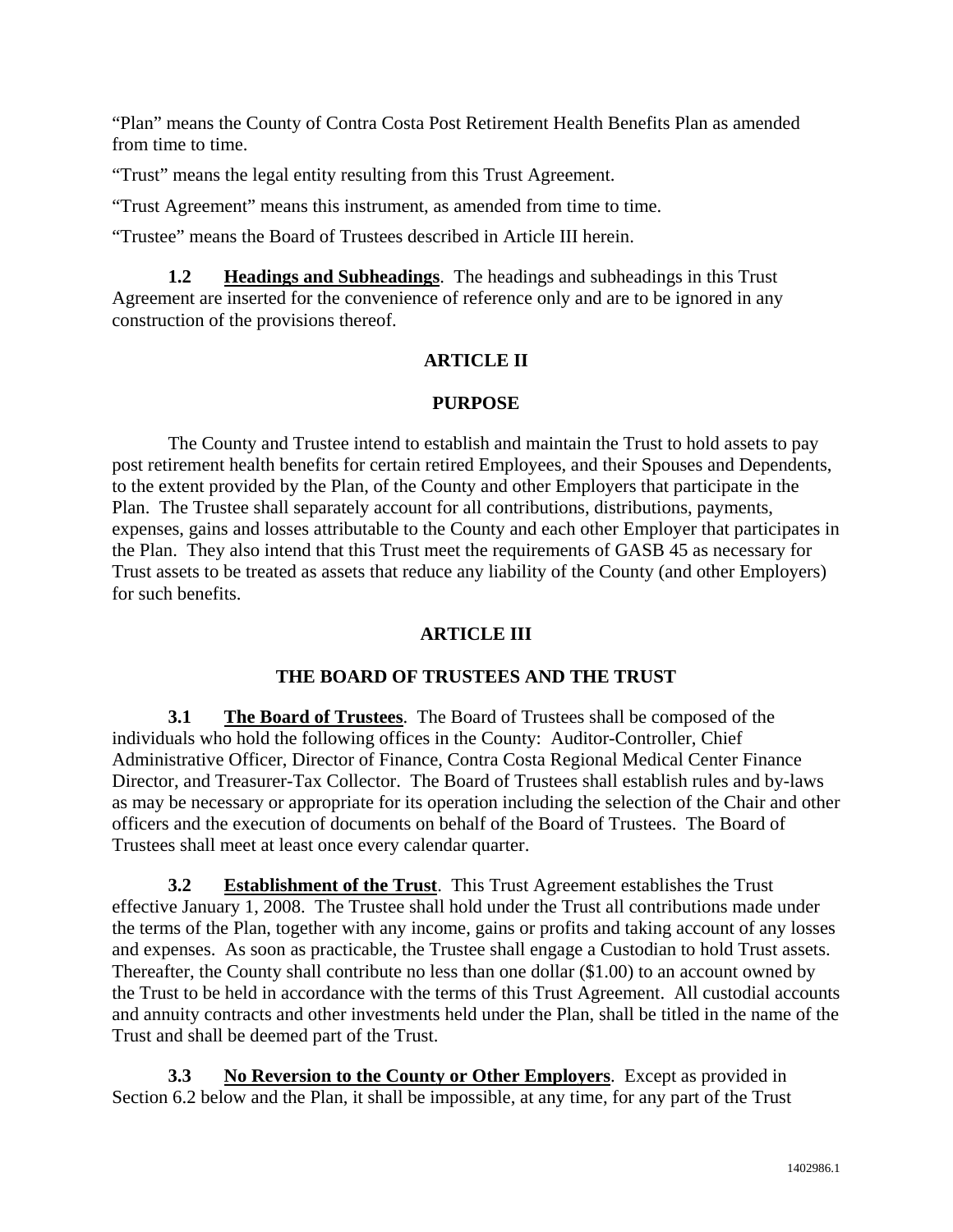"Plan" means the County of Contra Costa Post Retirement Health Benefits Plan as amended from time to time.

"Trust" means the legal entity resulting from this Trust Agreement.

"Trust Agreement" means this instrument, as amended from time to time.

"Trustee" means the Board of Trustees described in Article III herein.

**1.2 Headings and Subheadings**. The headings and subheadings in this Trust Agreement are inserted for the convenience of reference only and are to be ignored in any construction of the provisions thereof.

# **ARTICLE II**

# **PURPOSE**

 The County and Trustee intend to establish and maintain the Trust to hold assets to pay post retirement health benefits for certain retired Employees, and their Spouses and Dependents, to the extent provided by the Plan, of the County and other Employers that participate in the Plan. The Trustee shall separately account for all contributions, distributions, payments, expenses, gains and losses attributable to the County and each other Employer that participates in the Plan. They also intend that this Trust meet the requirements of GASB 45 as necessary for Trust assets to be treated as assets that reduce any liability of the County (and other Employers) for such benefits.

# **ARTICLE III**

# **THE BOARD OF TRUSTEES AND THE TRUST**

**3.1 The Board of Trustees**. The Board of Trustees shall be composed of the individuals who hold the following offices in the County: Auditor-Controller, Chief Administrative Officer, Director of Finance, Contra Costa Regional Medical Center Finance Director, and Treasurer-Tax Collector. The Board of Trustees shall establish rules and by-laws as may be necessary or appropriate for its operation including the selection of the Chair and other officers and the execution of documents on behalf of the Board of Trustees. The Board of Trustees shall meet at least once every calendar quarter.

**3.2 Establishment of the Trust**. This Trust Agreement establishes the Trust effective January 1, 2008. The Trustee shall hold under the Trust all contributions made under the terms of the Plan, together with any income, gains or profits and taking account of any losses and expenses. As soon as practicable, the Trustee shall engage a Custodian to hold Trust assets. Thereafter, the County shall contribute no less than one dollar (\$1.00) to an account owned by the Trust to be held in accordance with the terms of this Trust Agreement. All custodial accounts and annuity contracts and other investments held under the Plan, shall be titled in the name of the Trust and shall be deemed part of the Trust.

**3.3 No Reversion to the County or Other Employers**. Except as provided in Section 6.2 below and the Plan, it shall be impossible, at any time, for any part of the Trust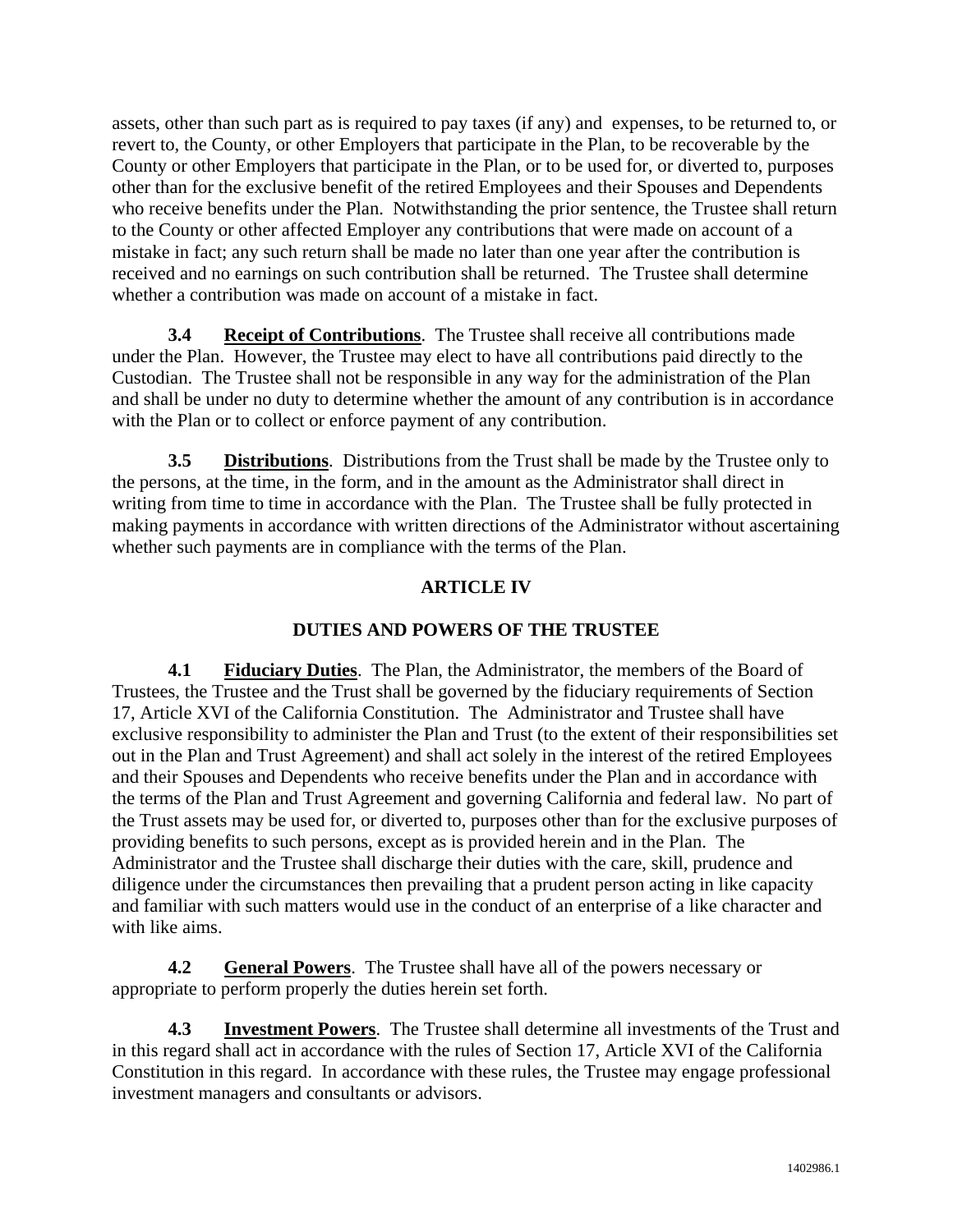assets, other than such part as is required to pay taxes (if any) and expenses, to be returned to, or revert to, the County, or other Employers that participate in the Plan, to be recoverable by the County or other Employers that participate in the Plan, or to be used for, or diverted to, purposes other than for the exclusive benefit of the retired Employees and their Spouses and Dependents who receive benefits under the Plan. Notwithstanding the prior sentence, the Trustee shall return to the County or other affected Employer any contributions that were made on account of a mistake in fact; any such return shall be made no later than one year after the contribution is received and no earnings on such contribution shall be returned. The Trustee shall determine whether a contribution was made on account of a mistake in fact.

**3.4 Receipt of Contributions**. The Trustee shall receive all contributions made under the Plan. However, the Trustee may elect to have all contributions paid directly to the Custodian. The Trustee shall not be responsible in any way for the administration of the Plan and shall be under no duty to determine whether the amount of any contribution is in accordance with the Plan or to collect or enforce payment of any contribution.

**3.5 Distributions**. Distributions from the Trust shall be made by the Trustee only to the persons, at the time, in the form, and in the amount as the Administrator shall direct in writing from time to time in accordance with the Plan. The Trustee shall be fully protected in making payments in accordance with written directions of the Administrator without ascertaining whether such payments are in compliance with the terms of the Plan.

# **ARTICLE IV**

# **DUTIES AND POWERS OF THE TRUSTEE**

**4.1 Fiduciary Duties**. The Plan, the Administrator, the members of the Board of Trustees, the Trustee and the Trust shall be governed by the fiduciary requirements of Section 17, Article XVI of the California Constitution. The Administrator and Trustee shall have exclusive responsibility to administer the Plan and Trust (to the extent of their responsibilities set out in the Plan and Trust Agreement) and shall act solely in the interest of the retired Employees and their Spouses and Dependents who receive benefits under the Plan and in accordance with the terms of the Plan and Trust Agreement and governing California and federal law. No part of the Trust assets may be used for, or diverted to, purposes other than for the exclusive purposes of providing benefits to such persons, except as is provided herein and in the Plan. The Administrator and the Trustee shall discharge their duties with the care, skill, prudence and diligence under the circumstances then prevailing that a prudent person acting in like capacity and familiar with such matters would use in the conduct of an enterprise of a like character and with like aims.

**4.2 General Powers**. The Trustee shall have all of the powers necessary or appropriate to perform properly the duties herein set forth.

**4.3 Investment Powers**. The Trustee shall determine all investments of the Trust and in this regard shall act in accordance with the rules of Section 17, Article XVI of the California Constitution in this regard. In accordance with these rules, the Trustee may engage professional investment managers and consultants or advisors.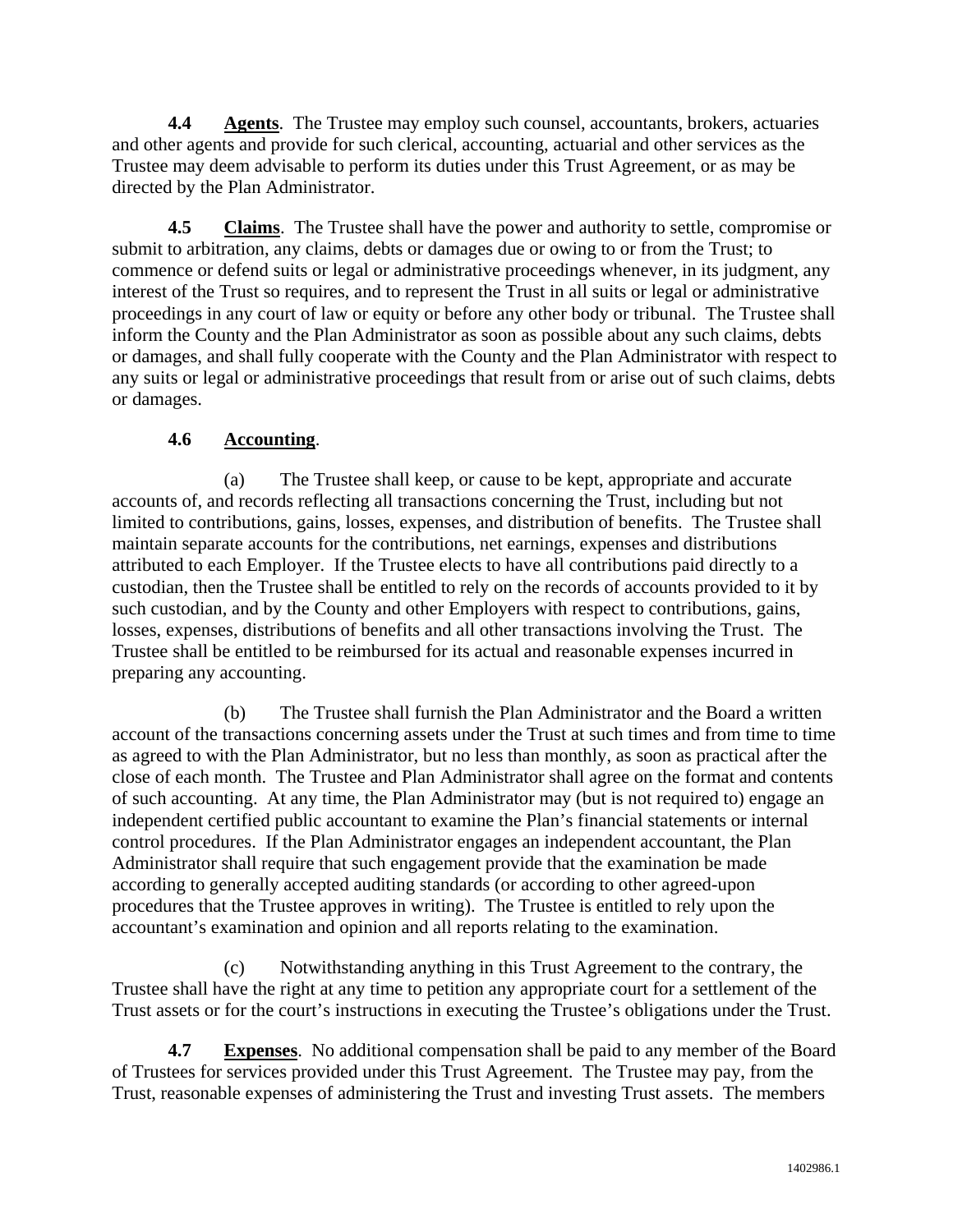**4.4 Agents**. The Trustee may employ such counsel, accountants, brokers, actuaries and other agents and provide for such clerical, accounting, actuarial and other services as the Trustee may deem advisable to perform its duties under this Trust Agreement, or as may be directed by the Plan Administrator.

**4.5 Claims**. The Trustee shall have the power and authority to settle, compromise or submit to arbitration, any claims, debts or damages due or owing to or from the Trust; to commence or defend suits or legal or administrative proceedings whenever, in its judgment, any interest of the Trust so requires, and to represent the Trust in all suits or legal or administrative proceedings in any court of law or equity or before any other body or tribunal. The Trustee shall inform the County and the Plan Administrator as soon as possible about any such claims, debts or damages, and shall fully cooperate with the County and the Plan Administrator with respect to any suits or legal or administrative proceedings that result from or arise out of such claims, debts or damages.

# **4.6 Accounting**.

(a) The Trustee shall keep, or cause to be kept, appropriate and accurate accounts of, and records reflecting all transactions concerning the Trust, including but not limited to contributions, gains, losses, expenses, and distribution of benefits. The Trustee shall maintain separate accounts for the contributions, net earnings, expenses and distributions attributed to each Employer. If the Trustee elects to have all contributions paid directly to a custodian, then the Trustee shall be entitled to rely on the records of accounts provided to it by such custodian, and by the County and other Employers with respect to contributions, gains, losses, expenses, distributions of benefits and all other transactions involving the Trust. The Trustee shall be entitled to be reimbursed for its actual and reasonable expenses incurred in preparing any accounting.

(b) The Trustee shall furnish the Plan Administrator and the Board a written account of the transactions concerning assets under the Trust at such times and from time to time as agreed to with the Plan Administrator, but no less than monthly, as soon as practical after the close of each month. The Trustee and Plan Administrator shall agree on the format and contents of such accounting. At any time, the Plan Administrator may (but is not required to) engage an independent certified public accountant to examine the Plan's financial statements or internal control procedures. If the Plan Administrator engages an independent accountant, the Plan Administrator shall require that such engagement provide that the examination be made according to generally accepted auditing standards (or according to other agreed-upon procedures that the Trustee approves in writing). The Trustee is entitled to rely upon the accountant's examination and opinion and all reports relating to the examination.

(c) Notwithstanding anything in this Trust Agreement to the contrary, the Trustee shall have the right at any time to petition any appropriate court for a settlement of the Trust assets or for the court's instructions in executing the Trustee's obligations under the Trust.

**4.7 Expenses**. No additional compensation shall be paid to any member of the Board of Trustees for services provided under this Trust Agreement. The Trustee may pay, from the Trust, reasonable expenses of administering the Trust and investing Trust assets. The members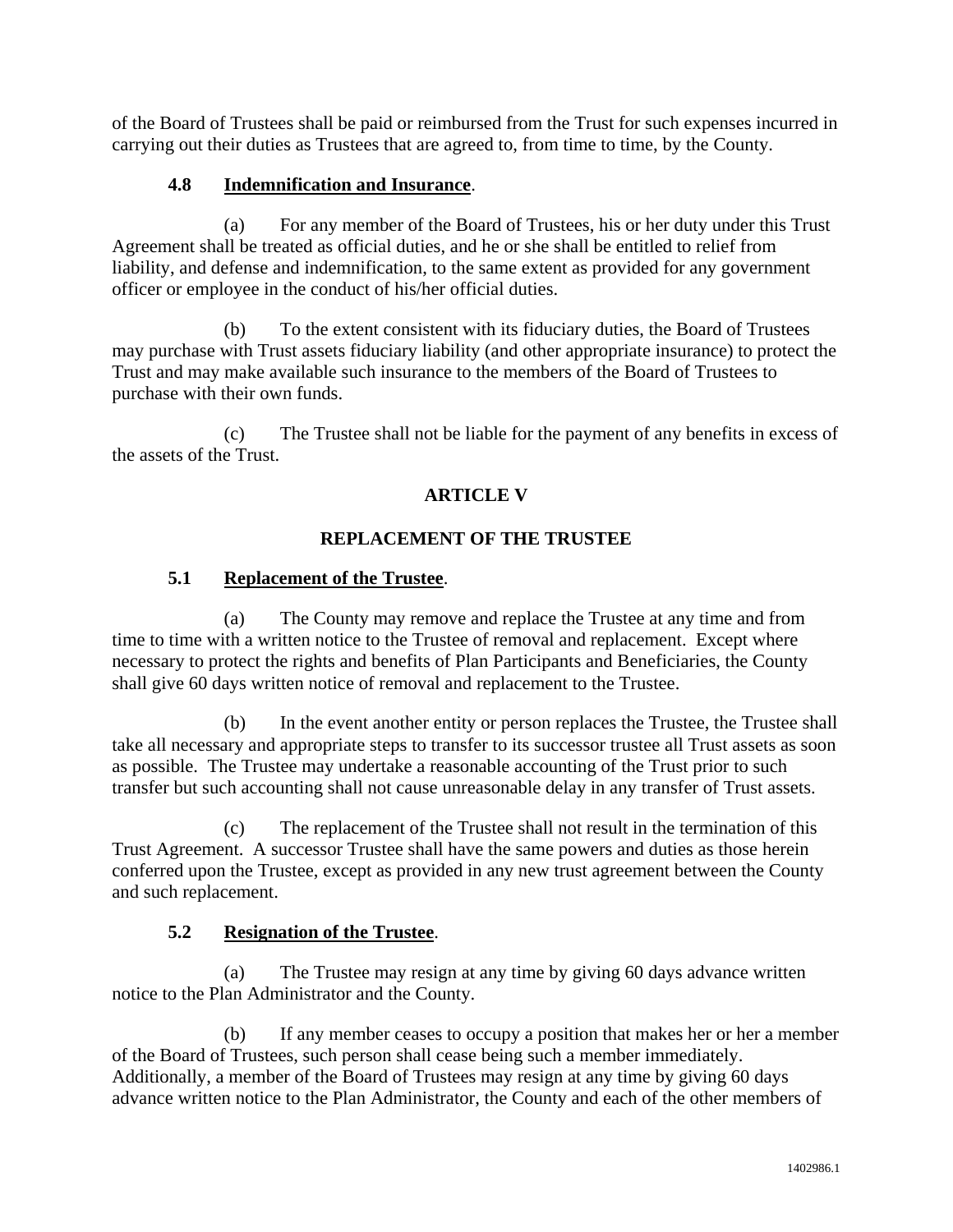of the Board of Trustees shall be paid or reimbursed from the Trust for such expenses incurred in carrying out their duties as Trustees that are agreed to, from time to time, by the County.

#### **4.8 Indemnification and Insurance**.

(a) For any member of the Board of Trustees, his or her duty under this Trust Agreement shall be treated as official duties, and he or she shall be entitled to relief from liability, and defense and indemnification, to the same extent as provided for any government officer or employee in the conduct of his/her official duties.

(b) To the extent consistent with its fiduciary duties, the Board of Trustees may purchase with Trust assets fiduciary liability (and other appropriate insurance) to protect the Trust and may make available such insurance to the members of the Board of Trustees to purchase with their own funds.

(c) The Trustee shall not be liable for the payment of any benefits in excess of the assets of the Trust.

# **ARTICLE V**

# **REPLACEMENT OF THE TRUSTEE**

#### **5.1 Replacement of the Trustee**.

(a) The County may remove and replace the Trustee at any time and from time to time with a written notice to the Trustee of removal and replacement. Except where necessary to protect the rights and benefits of Plan Participants and Beneficiaries, the County shall give 60 days written notice of removal and replacement to the Trustee.

(b) In the event another entity or person replaces the Trustee, the Trustee shall take all necessary and appropriate steps to transfer to its successor trustee all Trust assets as soon as possible. The Trustee may undertake a reasonable accounting of the Trust prior to such transfer but such accounting shall not cause unreasonable delay in any transfer of Trust assets.

(c) The replacement of the Trustee shall not result in the termination of this Trust Agreement. A successor Trustee shall have the same powers and duties as those herein conferred upon the Trustee, except as provided in any new trust agreement between the County and such replacement.

# **5.2 Resignation of the Trustee**.

(a) The Trustee may resign at any time by giving 60 days advance written notice to the Plan Administrator and the County.

(b) If any member ceases to occupy a position that makes her or her a member of the Board of Trustees, such person shall cease being such a member immediately. Additionally, a member of the Board of Trustees may resign at any time by giving 60 days advance written notice to the Plan Administrator, the County and each of the other members of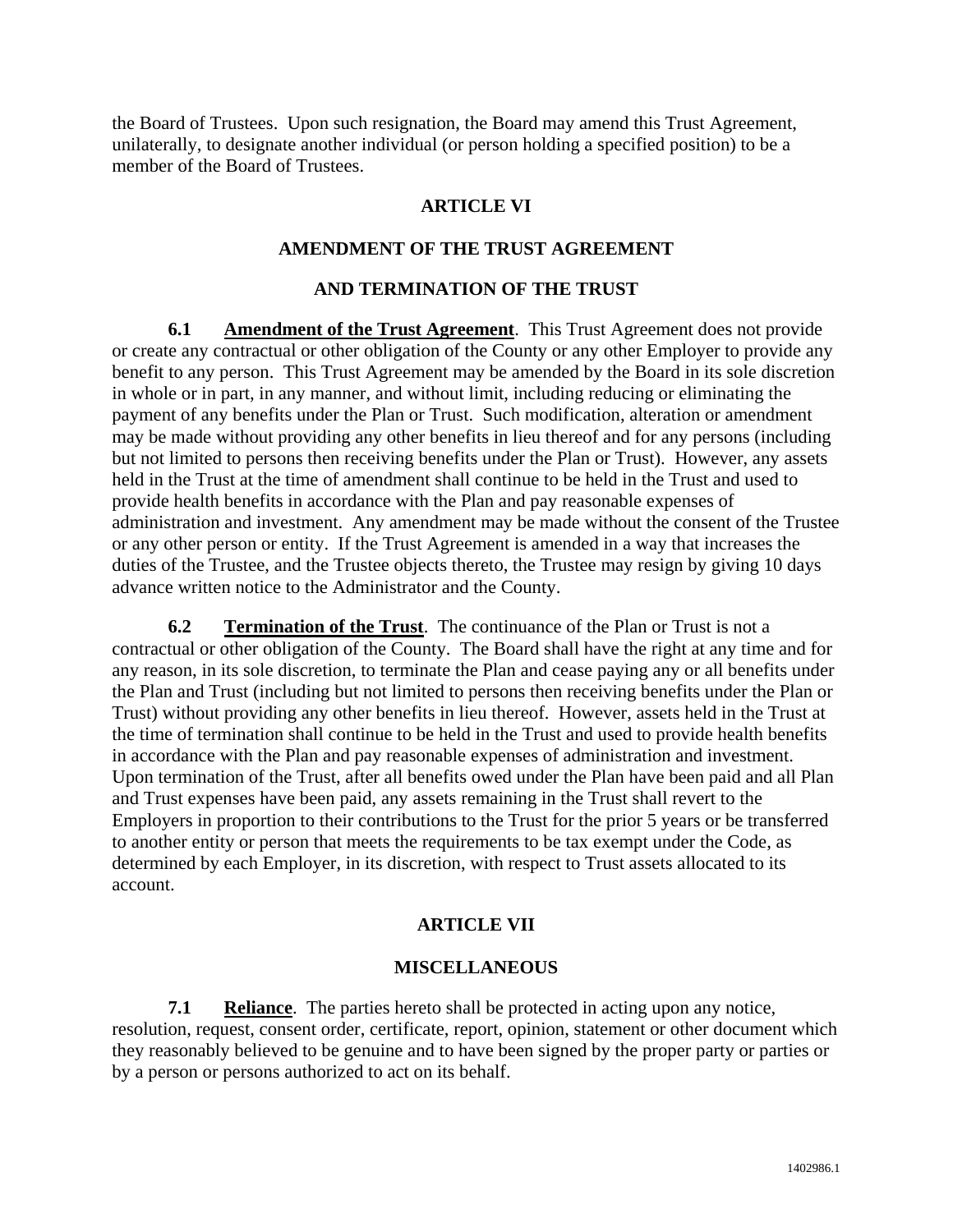the Board of Trustees. Upon such resignation, the Board may amend this Trust Agreement, unilaterally, to designate another individual (or person holding a specified position) to be a member of the Board of Trustees.

#### **ARTICLE VI**

#### **AMENDMENT OF THE TRUST AGREEMENT**

#### **AND TERMINATION OF THE TRUST**

**6.1 Amendment of the Trust Agreement**. This Trust Agreement does not provide or create any contractual or other obligation of the County or any other Employer to provide any benefit to any person. This Trust Agreement may be amended by the Board in its sole discretion in whole or in part, in any manner, and without limit, including reducing or eliminating the payment of any benefits under the Plan or Trust. Such modification, alteration or amendment may be made without providing any other benefits in lieu thereof and for any persons (including but not limited to persons then receiving benefits under the Plan or Trust). However, any assets held in the Trust at the time of amendment shall continue to be held in the Trust and used to provide health benefits in accordance with the Plan and pay reasonable expenses of administration and investment. Any amendment may be made without the consent of the Trustee or any other person or entity. If the Trust Agreement is amended in a way that increases the duties of the Trustee, and the Trustee objects thereto, the Trustee may resign by giving 10 days advance written notice to the Administrator and the County.

**6.2 Termination of the Trust**. The continuance of the Plan or Trust is not a contractual or other obligation of the County. The Board shall have the right at any time and for any reason, in its sole discretion, to terminate the Plan and cease paying any or all benefits under the Plan and Trust (including but not limited to persons then receiving benefits under the Plan or Trust) without providing any other benefits in lieu thereof. However, assets held in the Trust at the time of termination shall continue to be held in the Trust and used to provide health benefits in accordance with the Plan and pay reasonable expenses of administration and investment. Upon termination of the Trust, after all benefits owed under the Plan have been paid and all Plan and Trust expenses have been paid, any assets remaining in the Trust shall revert to the Employers in proportion to their contributions to the Trust for the prior 5 years or be transferred to another entity or person that meets the requirements to be tax exempt under the Code, as determined by each Employer, in its discretion, with respect to Trust assets allocated to its account.

#### **ARTICLE VII**

#### **MISCELLANEOUS**

**7.1 Reliance**. The parties hereto shall be protected in acting upon any notice, resolution, request, consent order, certificate, report, opinion, statement or other document which they reasonably believed to be genuine and to have been signed by the proper party or parties or by a person or persons authorized to act on its behalf.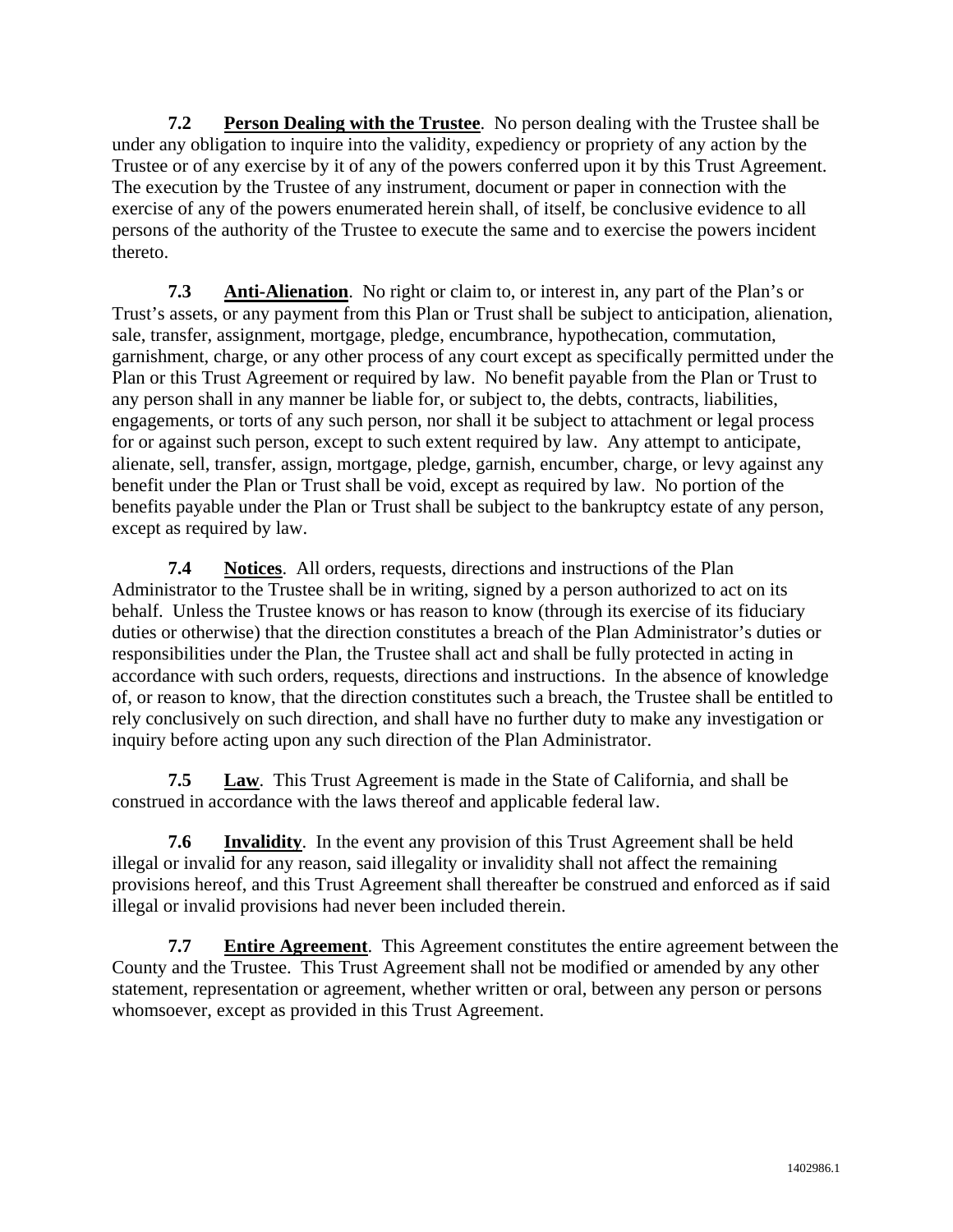**7.2 Person Dealing with the Trustee**. No person dealing with the Trustee shall be under any obligation to inquire into the validity, expediency or propriety of any action by the Trustee or of any exercise by it of any of the powers conferred upon it by this Trust Agreement. The execution by the Trustee of any instrument, document or paper in connection with the exercise of any of the powers enumerated herein shall, of itself, be conclusive evidence to all persons of the authority of the Trustee to execute the same and to exercise the powers incident thereto.

**7.3 Anti-Alienation**. No right or claim to, or interest in, any part of the Plan's or Trust's assets, or any payment from this Plan or Trust shall be subject to anticipation, alienation, sale, transfer, assignment, mortgage, pledge, encumbrance, hypothecation, commutation, garnishment, charge, or any other process of any court except as specifically permitted under the Plan or this Trust Agreement or required by law. No benefit payable from the Plan or Trust to any person shall in any manner be liable for, or subject to, the debts, contracts, liabilities, engagements, or torts of any such person, nor shall it be subject to attachment or legal process for or against such person, except to such extent required by law. Any attempt to anticipate, alienate, sell, transfer, assign, mortgage, pledge, garnish, encumber, charge, or levy against any benefit under the Plan or Trust shall be void, except as required by law. No portion of the benefits payable under the Plan or Trust shall be subject to the bankruptcy estate of any person, except as required by law.

**7.4 Notices**. All orders, requests, directions and instructions of the Plan Administrator to the Trustee shall be in writing, signed by a person authorized to act on its behalf. Unless the Trustee knows or has reason to know (through its exercise of its fiduciary duties or otherwise) that the direction constitutes a breach of the Plan Administrator's duties or responsibilities under the Plan, the Trustee shall act and shall be fully protected in acting in accordance with such orders, requests, directions and instructions. In the absence of knowledge of, or reason to know, that the direction constitutes such a breach, the Trustee shall be entitled to rely conclusively on such direction, and shall have no further duty to make any investigation or inquiry before acting upon any such direction of the Plan Administrator.

**7.5 Law**. This Trust Agreement is made in the State of California, and shall be construed in accordance with the laws thereof and applicable federal law.

**7.6 Invalidity**. In the event any provision of this Trust Agreement shall be held illegal or invalid for any reason, said illegality or invalidity shall not affect the remaining provisions hereof, and this Trust Agreement shall thereafter be construed and enforced as if said illegal or invalid provisions had never been included therein.

**7.7 Entire Agreement**. This Agreement constitutes the entire agreement between the County and the Trustee. This Trust Agreement shall not be modified or amended by any other statement, representation or agreement, whether written or oral, between any person or persons whomsoever, except as provided in this Trust Agreement.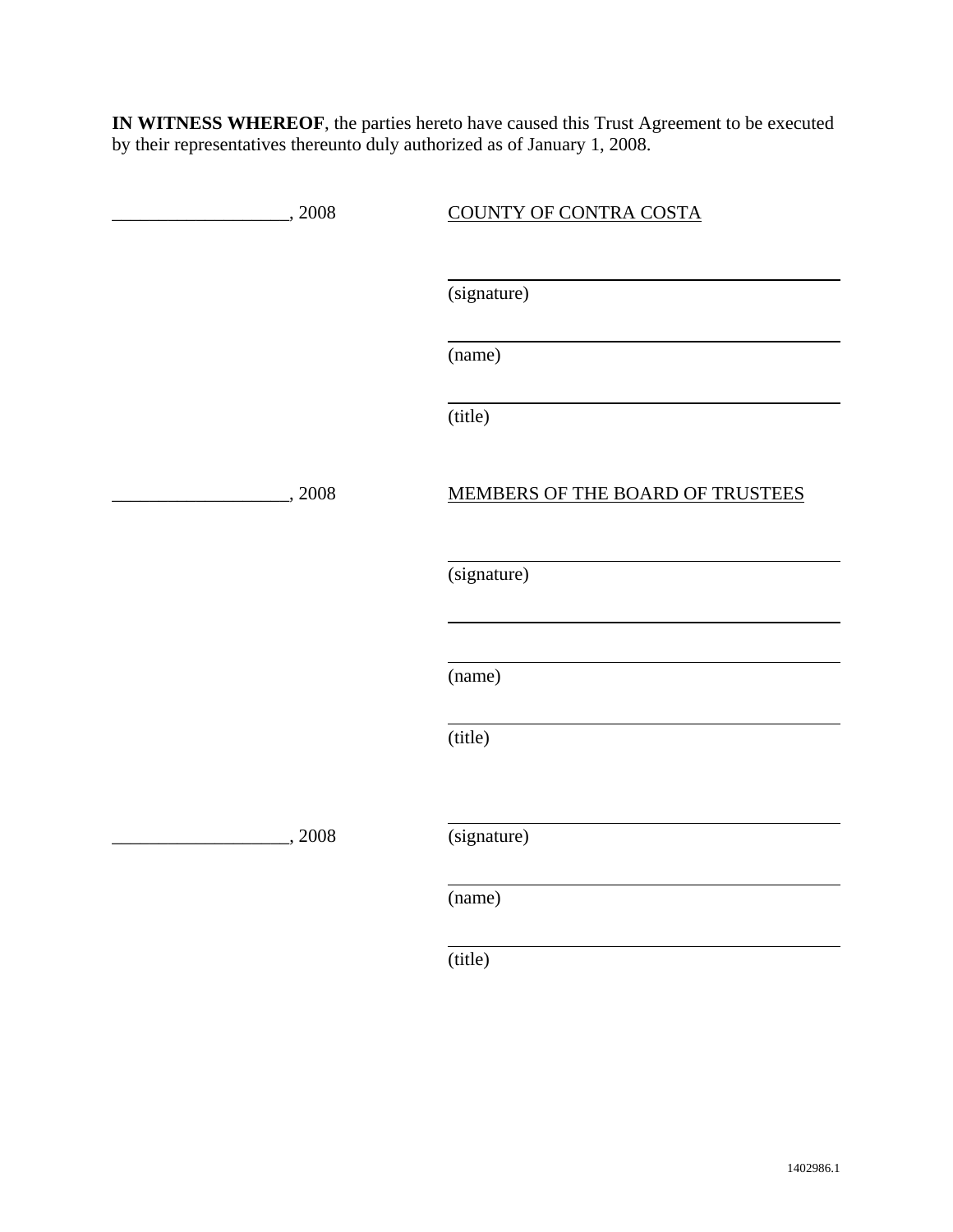**IN WITNESS WHEREOF**, the parties hereto have caused this Trust Agreement to be executed by their representatives thereunto duly authorized as of January 1, 2008.

| , 2008 | <b>COUNTY OF CONTRA COSTA</b>    |
|--------|----------------------------------|
|        |                                  |
|        | (signature)                      |
|        | (name)                           |
|        | (title)                          |
| , 2008 | MEMBERS OF THE BOARD OF TRUSTEES |
|        | (signature)                      |
|        |                                  |
|        | (name)                           |
|        | (title)                          |
| 2008   |                                  |
|        | (signature)                      |
|        | (name)                           |
|        |                                  |

(title)